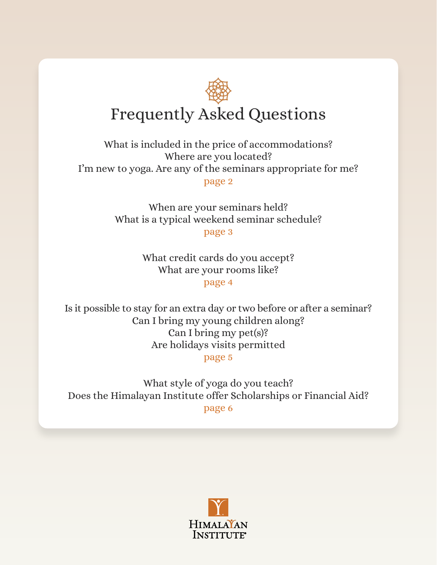# <span id="page-0-0"></span>Frequently Asked Questions

[What is included in the price of accommodations?](#page-1-0) [Where are you located?](#page-1-0) [I'm new to yoga. Are any of the seminars appropriate for me?](#page-1-0) [page 2](#page-1-0)

> [When are your seminars held?](#page-2-0) [What is a typical weekend seminar schedule?](#page-2-0)

[page 3](#page-2-0)

[What credit cards do you accept?](#page-3-0) [What are your rooms like?](#page-3-0) [page 4](#page-3-0)

[Is it possible to stay for an extra day or two before or after a seminar?](#page-4-0) [Can I bring my young children along?](#page-4-0) [Can I bring my pet\(s\)?](#page-4-0) [Are holidays visits permitted](#page-4-0)

[page 5](#page-4-0)

[What style of yoga do you teach?](#page-5-0) [Does the Himalayan Institute offer Scholarships or Financial Aid?](#page-5-0) [page 6](#page-5-0)

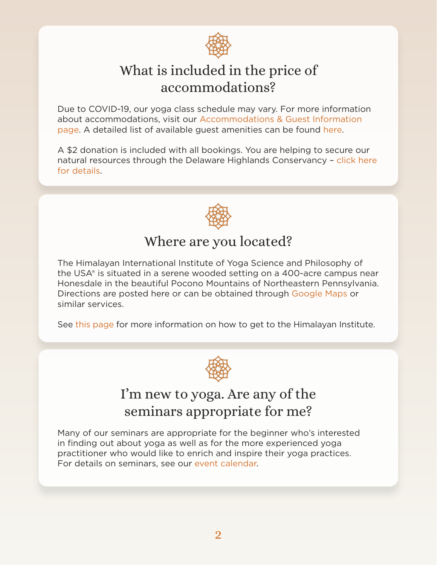

# What is included in the price of accommodations?

<span id="page-1-0"></span>Due to COVID-19, our yoga class schedule may vary. For more information about accommodations, visit our [Accommodations & Guest Information](https://www.himalayaninstitute.org/retreat-center/guest-information/)  [page.](https://www.himalayaninstitute.org/retreat-center/guest-information/) A detailed list of available guest amenities can be found [here](https://www.himalayaninstitute.org/retreat-center/guest-amenities/).

A \$2 donation is included with all bookings. You are helping to secure our natural resources through the Delaware Highlands Conservancy – [click here](https://delawarehighlands.org/about/what-we-do/)  [for details](https://delawarehighlands.org/about/what-we-do/).



## Where are you located?

The Himalayan International Institute of Yoga Science and Philosophy of the USA® is situated in a serene wooded setting on a 400-acre campus near Honesdale in the beautiful Pocono Mountains of Northeastern Pennsylvania. Directions are posted here or can be obtained through [Google Maps](https://www.google.com/maps/place/The+Himalayan+Institute/@41.647182,-75.3058937,17z/data=!3m1!4b1!4m8!3m7!1s0x89db4a50d38426e9:0xd92f356ba7609764!5m2!4m1!1i2!8m2!3d41.647182!4d-75.303705
) or similar services.

See [this page](https://himalayaninstitute.org/retreat-center/getting-here/) for more information on how to get to the Himalayan Institute.



## I'm new to yoga. Are any of the seminars appropriate for me?

Many of our seminars are appropriate for the beginner who's interested in finding out about yoga as well as for the more experienced yoga practitioner who would like to enrich and inspire their yoga practices. For details on seminars, see our [event calendar](https://www.himalayaninstitute.org/calendar/).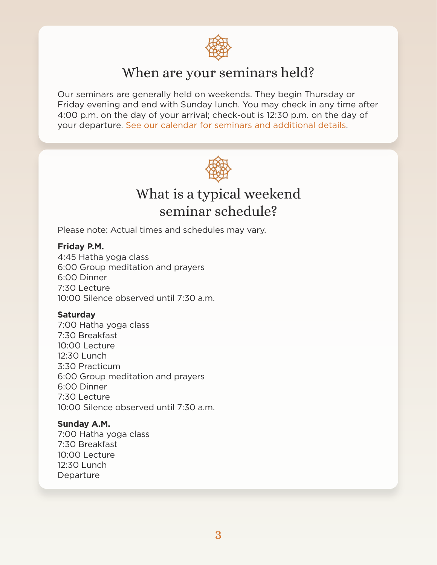

#### When are your seminars held?

<span id="page-2-0"></span>Our seminars are generally held on weekends. They begin Thursday or Friday evening and end with Sunday lunch. You may check in any time after 4:00 p.m. on the day of your arrival; check-out is 12:30 p.m. on the day of your departure. [See our calendar for seminars and additional details.](https://www.himalayaninstitute.org/calendar/)



### What is a typical weekend seminar schedule?

Please note: Actual times and schedules may vary.

#### **Friday P.M.**

4:45 Hatha yoga class 6:00 Group meditation and prayers 6:00 Dinner 7:30 Lecture 10:00 Silence observed until 7:30 a.m.

#### **Saturday**

7:00 Hatha yoga class 7:30 Breakfast 10:00 Lecture 12:30 Lunch 3:30 Practicum 6:00 Group meditation and prayers 6:00 Dinner 7:30 Lecture 10:00 Silence observed until 7:30 a.m.

#### **Sunday A.M.**

7:00 Hatha yoga class 7:30 Breakfast 10:00 Lecture 12:30 Lunch Departure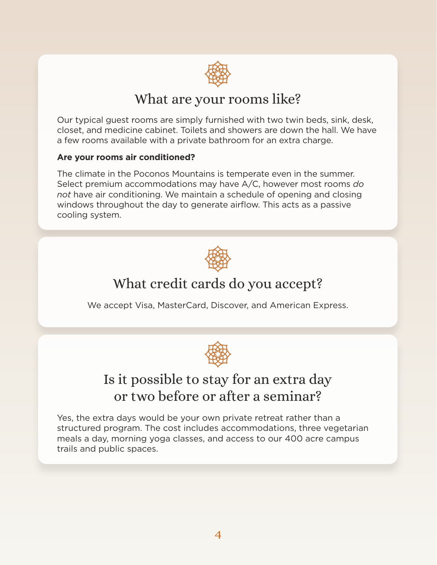

#### What are your rooms like?

<span id="page-3-0"></span>Our typical guest rooms are simply furnished with two twin beds, sink, desk, closet, and medicine cabinet. Toilets and showers are down the hall. We have a few rooms available with a private bathroom for an extra charge.

#### **Are your rooms air conditioned?**

The climate in the Poconos Mountains is temperate even in the summer. Select premium accommodations may have A/C, however most rooms *do not* have air conditioning. We maintain a schedule of opening and closing windows throughout the day to generate airflow. This acts as a passive cooling system.



## What credit cards do you accept?

We accept Visa, MasterCard, Discover, and American Express.



## Is it possible to stay for an extra day or two before or after a seminar?

Yes, the extra days would be your own private retreat rather than a structured program. The cost includes accommodations, three vegetarian meals a day, morning yoga classes, and access to our 400 acre campus trails and public spaces.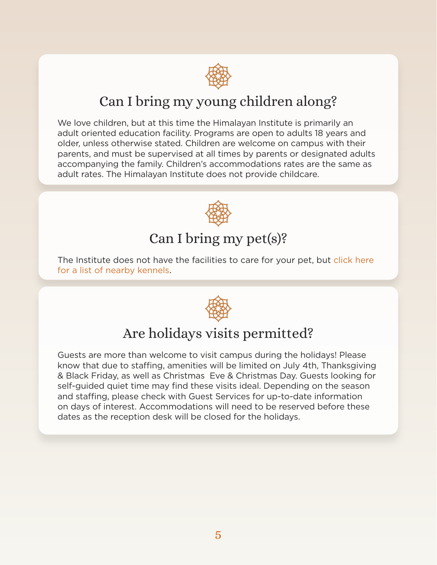

# Can I bring my young children along?

<span id="page-4-0"></span>We love children, but at this time the Himalayan Institute is primarily an adult oriented education facility. Programs are open to adults 18 years and older, unless otherwise stated. Children are welcome on campus with their parents, and must be supervised at all times by parents or designated adults accompanying the family. Children's accommodations rates are the same as adult rates. The Himalayan Institute does not provide childcare.



# Can I bring my pet(s)?

The Institute does not have the facilities to care for your pet, but click here [for a list of nearby kennels](https://www.yelp.com/search?find_desc=kennel&ns=1&find_loc=18431).



# Are holidays visits permitted?

Guests are more than welcome to visit campus during the holidays! Please know that due to staffing, amenities will be limited on July 4th, Thanksgiving & Black Friday, as well as Christmas Eve & Christmas Day. Guests looking for self-guided quiet time may find these visits ideal. Depending on the season and staffing, please check with Guest Services for up-to-date information on days of interest. Accommodations will need to be reserved before these dates as the reception desk will be closed for the holidays.